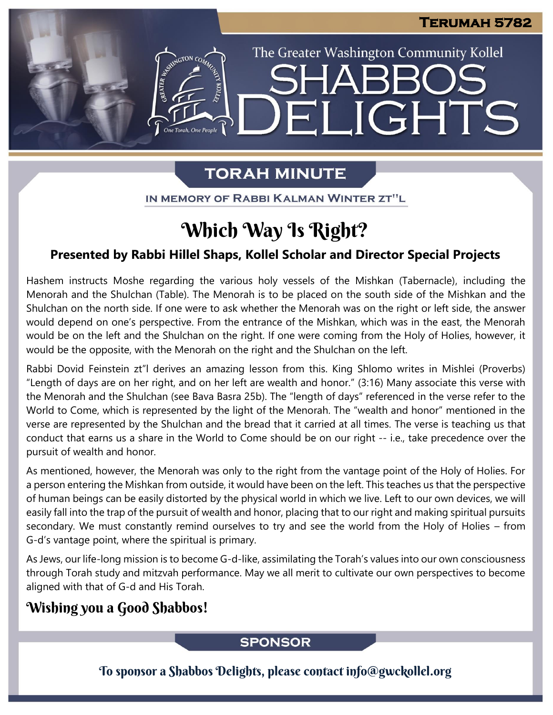The Greater Washington Community Kollel

ELIGHTS

# **TORAH MINUTE**

IN MEMORY OF RABBI KALMAN WINTER ZT"L

# Which Way Is Right?

## **Presented by Rabbi Hillel Shaps, Kollel Scholar and Director Special Projects**

Hashem instructs Moshe regarding the various holy vessels of the Mishkan (Tabernacle), including the Menorah and the Shulchan (Table). The Menorah is to be placed on the south side of the Mishkan and the Shulchan on the north side. If one were to ask whether the Menorah was on the right or left side, the answer would depend on one's perspective. From the entrance of the Mishkan, which was in the east, the Menorah would be on the left and the Shulchan on the right. If one were coming from the Holy of Holies, however, it would be the opposite, with the Menorah on the right and the Shulchan on the left.

Rabbi Dovid Feinstein zt"l derives an amazing lesson from this. King Shlomo writes in Mishlei (Proverbs) "Length of days are on her right, and on her left are wealth and honor." (3:16) Many associate this verse with the Menorah and the Shulchan (see Bava Basra 25b). The "length of days" referenced in the verse refer to the World to Come, which is represented by the light of the Menorah. The "wealth and honor" mentioned in the verse are represented by the Shulchan and the bread that it carried at all times. The verse is teaching us that conduct that earns us a share in the World to Come should be on our right -- i.e., take precedence over the pursuit of wealth and honor.

As mentioned, however, the Menorah was only to the right from the vantage point of the Holy of Holies. For a person entering the Mishkan from outside, it would have been on the left. This teaches us that the perspective of human beings can be easily distorted by the physical world in which we live. Left to our own devices, we will easily fall into the trap of the pursuit of wealth and honor, placing that to our right and making spiritual pursuits secondary. We must constantly remind ourselves to try and see the world from the Holy of Holies – from G-d's vantage point, where the spiritual is primary.

As Jews, our life-long mission is to become G-d-like, assimilating the Torah's values into our own consciousness through Torah study and mitzvah performance. May we all merit to cultivate our own perspectives to become aligned with that of G-d and His Torah.

# Wishing you a Good Shabbos!

### **SPONSOR**

To sponsor a Shabbos Delights, please contact info@gwckollel.org